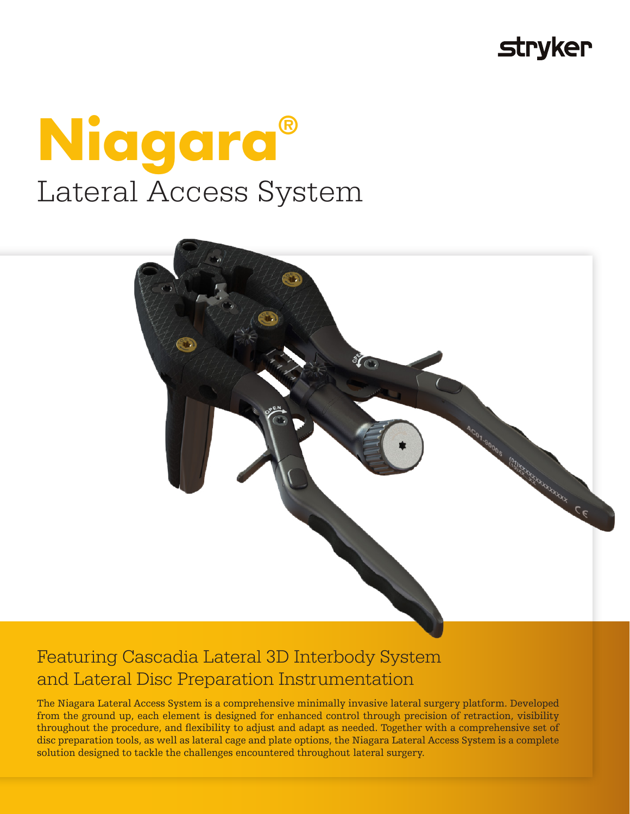# **stryker**





## Featuring Cascadia Lateral 3D Interbody System and Lateral Disc Preparation Instrumentation

The Niagara Lateral Access System is a comprehensive minimally invasive lateral surgery platform. Developed from the ground up, each element is designed for enhanced control through precision of retraction, visibility throughout the procedure, and flexibility to adjust and adapt as needed. Together with a comprehensive set of disc preparation tools, as well as lateral cage and plate options, the Niagara Lateral Access System is a complete solution designed to tackle the challenges encountered throughout lateral surgery.